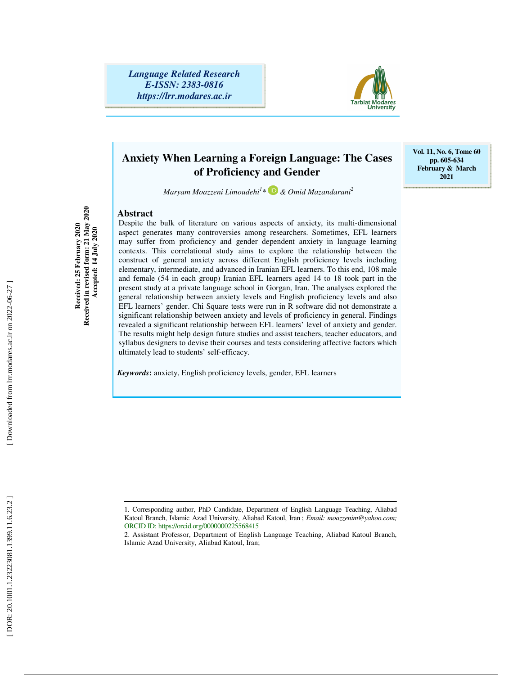*Language Related Research E-ISSN: 2383-0816 https://lrr.modares.ac.ir*



## **Anxiety When Learning a Foreign Language: The Cases of Proficiency and Gender**

**Vol. 11, No. 6, Tome 60 pp. 605-634 February & March 2021** 

*Maryam Moazzeni Limoudehi 1 \* & Omid Mazandarani 2*

#### **Abstract**

**Received in revised form: 21 May 2020**  Received: 25 February 2020<br>Received in revised form: 21 May 2020<br>Accepted: 14 July 2020 **Received: 25 February 2020 Accepted: 14 July 2020** 

Despite the bulk of literature on various aspects of anxiety, its multi-dimensional aspect generates many controversies among researchers. Sometimes, EFL learners may suffer from proficiency and gender dependent anxiety in language learning contexts. This correlational study aims to explore the relationship between the construct of general anxiety across different English proficiency levels including elementary, intermediate, and advanced in Iranian EFL learners. To this end, 108 male and female (54 in each group) Iranian EFL learners aged 14 to 18 took part in the present study at a private language school in Gorgan, Iran. The analyses explored the general relationship between anxiety levels and English proficiency levels and also EFL learners' gender. Chi Square tests were run in R software did not demonstrate a significant relationship between anxiety and levels of proficiency in general. Findings revealed a significant relationship between EFL learners' level of anxiety and gender. The results might help design future studies and assist teachers, teacher educators, and syllabus designers to devise their courses and tests considering affective factors which ultimately lead to students' self-efficacy.

*Keywords***:** anxiety, English proficiency levels, gender, EFL learners

ــــــــــــــــــــــــــــــــــــــــــــــــــــــــــــــــــــــــــــــــــــــــــــــــــــــــــــــــــــــــــــــــــــــــــ 1. Corresponding author, PhD Candidate, Department of English Language Teaching, Aliabad Katoul Branch, Islamic Azad University, Aliabad Katoul, Iran ; *Email: moazzenim@yahoo.com;* ORCID ID: https://orcid.org/0000000225568415

<sup>2.</sup> Assistant Professor, Department of English Language Teaching, Aliabad Katoul Branch, Islamic Azad University, Aliabad Katoul, Iran;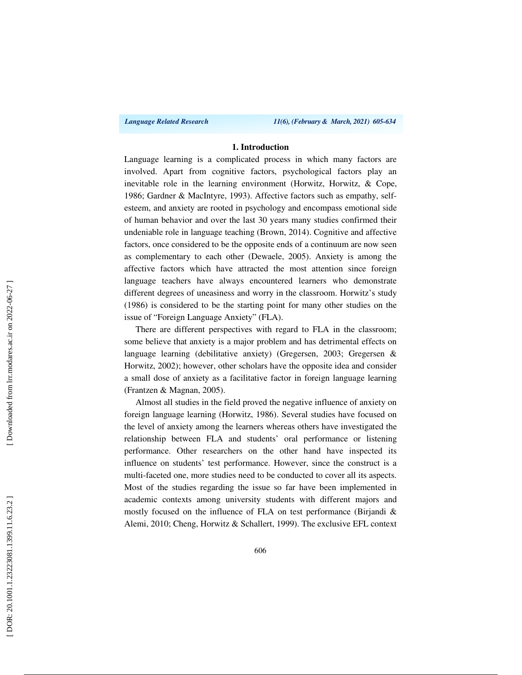*Language Related Research 11(6), (February & March, 2021) 605-634*

### **1. Introduction**

Language learning is a complicated process in which many factors are involved. Apart from cognitive factors, psychological factors play an inevitable role in the learning environment (Horwitz, Horwitz, & Cope, 1986; Gardner & MacIntyre, 1993). Affective factors such as empathy, selfesteem, and anxiety are rooted in psychology and encompass emotional side of human behavior and over the last 30 years many studies confirmed their undeniable role in language teaching (Brown, 2014). Cognitive and affective factors, once considered to be the opposite ends of a continuum are now seen as complementary to each other (Dewaele, 2005). Anxiety is among the affective factors which have attracted the most attention since foreign language teachers have always encountered learners who demonstrate different degrees of uneasiness and worry in the classroom. Horwitz's study (1986) is considered to be the starting point for many other studies on the issue of "Foreign Language Anxiety" (FLA).

There are different perspectives with regard to FLA in the classroom; some believe that anxiety is a major problem and has detrimental effects on language learning (debilitative anxiety) (Gregersen, 2003; Gregersen & Horwitz, 2002); however, other scholars have the opposite idea and consider a small dose of anxiety as a facilitative factor in foreign language learning (Frantzen & Magnan, 2005).

Almost all studies in the field proved the negative influence of anxiety on foreign language learning (Horwitz, 1986). Several studies have focused on the level of anxiety among the learners whereas others have investigated the relationship between FLA and students' oral performance or listening performance. Other researchers on the other hand have inspected its influence on students' test performance. However, since the construct is a multi-faceted one, more studies need to be conducted to cover all its aspects. Most of the studies regarding the issue so far have been implemented in academic contexts among university students with different majors and mostly focused on the influence of FLA on test performance (Birjandi & Alemi, 2010; Cheng, Horwitz & Schallert, 1999). The exclusive EFL context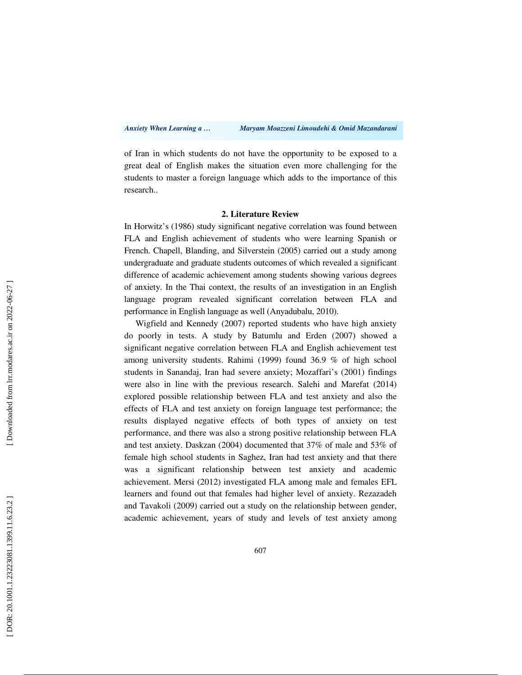of Iran in which students do not have the opportunity to be exposed to a great deal of English makes the situation even more challenging for the students to master a foreign language which adds to the importance of this research..

### **2. Literature Review**

In Horwitz's (1986) study significant negative correlation was found between FLA and English achievement of students who were learning Spanish or French. Chapell, Blanding, and Silverstein (2005) carried out a study among undergraduate and graduate students outcomes of which revealed a significant difference of academic achievement among students showing various degrees of anxiety. In the Thai context, the results of an investigation in an English language program revealed significant correlation between FLA and performance in English language as well (Anyadubalu, 2010).

Wigfield and Kennedy (2007) reported students who have high anxiety do poorly in tests. A study by Batumlu and Erden (2007) showed a significant negative correlation between FLA and English achievement test among university students. Rahimi (1999) found 36.9 % of high school students in Sanandaj, Iran had severe anxiety; Mozaffari's (2001) findings were also in line with the previous research. Salehi and Marefat (2014) explored possible relationship between FLA and test anxiety and also the effects of FLA and test anxiety on foreign language test performance; the results displayed negative effects of both types of anxiety on test performance, and there was also a strong positive relationship between FLA and test anxiety. Daskzan (2004) documented that 37% of male and 53% of female high school students in Saghez, Iran had test anxiety and that there was a significant relationship between test anxiety and academic achievement. Mersi (2012) investigated FLA among male and females EFL learners and found out that females had higher level of anxiety. Rezazadeh and Tavakoli (2009) carried out a study on the relationship between gender, academic achievement, years of study and levels of test anxiety among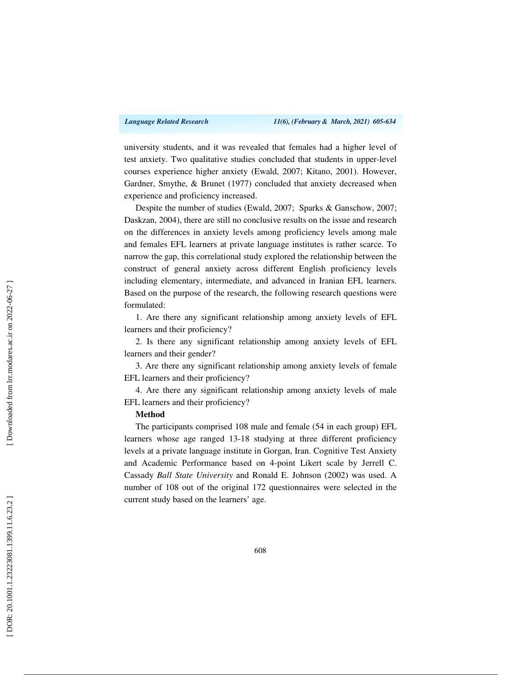university students, and it was revealed that females had a higher level of test anxiety. Two qualitative studies concluded that students in upper-level courses experience higher anxiety (Ewald, 2007; Kitano, 2001). However, Gardner, Smythe, & Brunet (1977) concluded that anxiety decreased when experience and proficiency increased.

Despite the number of studies (Ewald, 2007; Sparks & Ganschow, 2007; Daskzan, 2004), there are still no conclusive results on the issue and research on the differences in anxiety levels among proficiency levels among male and females EFL learners at private language institutes is rather scarce. To narrow the gap, this correlational study explored the relationship between the construct of general anxiety across different English proficiency levels including elementary, intermediate, and advanced in Iranian EFL learners. Based on the purpose of the research, the following research questions were formulated:

1. Are there any significant relationship among anxiety levels of EFL learners and their proficiency?

2. Is there any significant relationship among anxiety levels of EFL learners and their gender?

3. Are there any significant relationship among anxiety levels of female EFL learners and their proficiency?

4. Are there any significant relationship among anxiety levels of male EFL learners and their proficiency?

### **Method**

The participants comprised 108 male and female (54 in each group) EFL learners whose age ranged 13-18 studying at three different proficiency levels at a private language institute in Gorgan, Iran. Cognitive Test Anxiety and Academic Performance based on 4-point Likert scale by Jerrell C. Cassady *Ball State University* and Ronald E. Johnson (2002) was used. A number of 108 out of the original 172 questionnaires were selected in the current study based on the learners' age.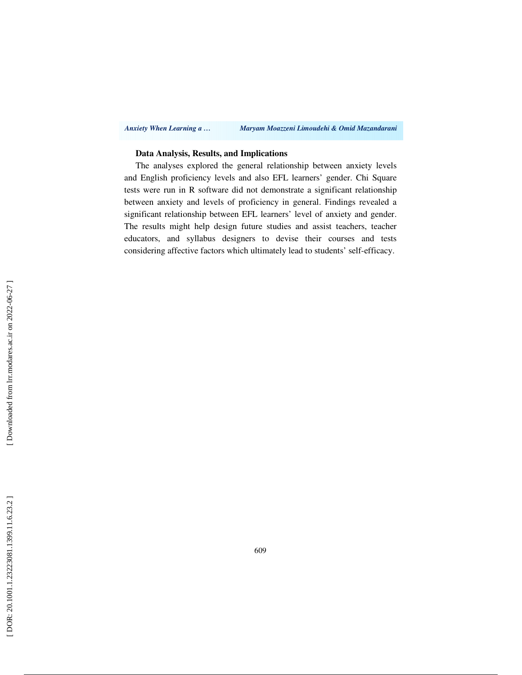#### *Anxiety When Learning a … Maryam Moazzeni Limoudehi & Omid Mazandarani*

### **Data Analysis, Results, and Implications**

The analyses explored the general relationship between anxiety levels and English proficiency levels and also EFL learners' gender. Chi Square tests were run in R software did not demonstrate a significant relationship between anxiety and levels of proficiency in general. Findings revealed a significant relationship between EFL learners' level of anxiety and gender. The results might help design future studies and assist teachers, teacher educators, and syllabus designers to devise their courses and tests considering affective factors which ultimately lead to students' self-efficacy.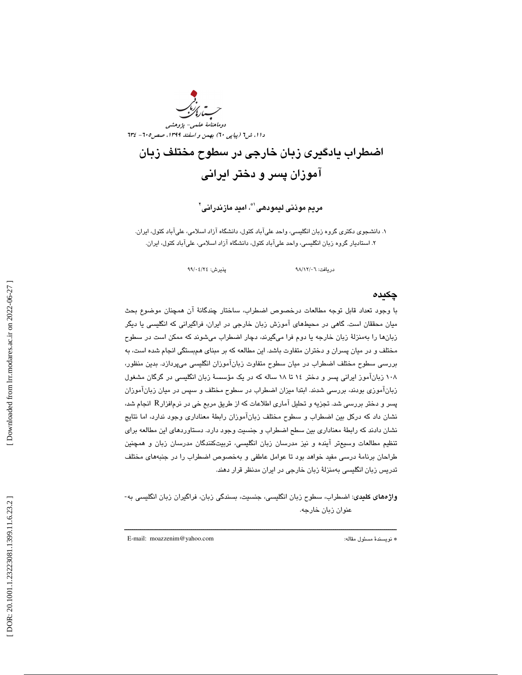دوماهنامة علمي- پژوهشي دا ۱، ش1 (پياپي ٦٠) بهمن و اسفند ١٣٩٩، صص۴٠٥ - ٦٣٤

# اضطراب يادگيری زبان خارجی در سطوح مختلف زبان آموزان پسر و دختر ايرانی

مريم موذنى ليمودهى`\*، اميد مازندرانى`

۱. دانشجوی دکتری گروه زبان انگلیسی، واحد علیآباد کتول، دانشگاه آزاد اسلامی، علیآباد کتول، ایران. ۲. استادیار گروه زبان انگلیسی، واحد علیآباد کتول، دانشگاه آزاد اسلامی، علیآباد کتول، ایران.

دريافت: 06/ 12/ 98 پذيرش: 24/ 04/ 99

### چكيده

 با وجود تعداد قابل توجه مطالعات درخصوص اضطراب ، ساختار چندگانة آن همچنان موضوع بحث میان محققان است. گاهی در محیطهای آموزش زبان خارجی در ایران، فراگیرانی که انگلیسی یا دیگر زبانها را بهمنزلهٔ زبان خارجه یا دوم فرا میگیرند، دچار اضطراب میشوند که ممکن است در سطوح مختلف و در ميان پسران و دختران متفاوت باشد. اين مطالعه كه بر مبناي همبستگي انجام شده است، به بررسي سطوح مختلف اضطراب در ميان سطوح متفاوت زبانآموزان انگليسي ميپردازد. بدين منظور، ۱۰۸ زبانآموز ايراني پسر و دختر ۱۶ تا ۱۸ ساله كه در يک مؤسسهٔ زبان انگليسي در گرگان مشغول زبانآموزی بودند، بررسی شدند. ابتدا میزان اضطراب در سطوح مختلف و سپس در میان زبانآموزان پسر و دختر بررسي شد. تجزيه و تحليل آماري اطلاعات كه از طريق مربع خي در نرمافزارR انجام شد، نشان داد كه دركل بين اضطراب و سطوح مختلف زبانآموزان رابطهٔ معناداري وجود ندارد، اما نتايج نشان دادند كه رابطة معناداري بين سطح اضطراب و جنسيت وجود دارد. دستاوردهاي اين مطالعه براي تنظيم مطالعات وسيعتر آينده و نيز مدرسان زبان انگليسي، تربيتكنندگان مدرسان زبان و همچنين طراحان برنامهٔ درسی مفید خواهد بود تا عوامل عاطفی و بهخصوص اضطراب را در جنبههای مختلف تدريس زبان انگليسي به منزلة زبان خارج ي در ايران مدنظر قرار دهند .

واژههاي كليدي: اضطراب، سطوح زبان انگليسي، جنسيت، بسندگي زبان، فراگيران زبان انگليسي به-عنوان زبان خارجه .

ــــــــــــــــــــــــــــــــــــــــــــــــــــــــــــــــــــــــــــــــــــــــــــــــــــــــــــــــــــــــــــــــــــــــــ

E-mail: moazzenim@yahoo.com :مقاله مسئول نويسندة\*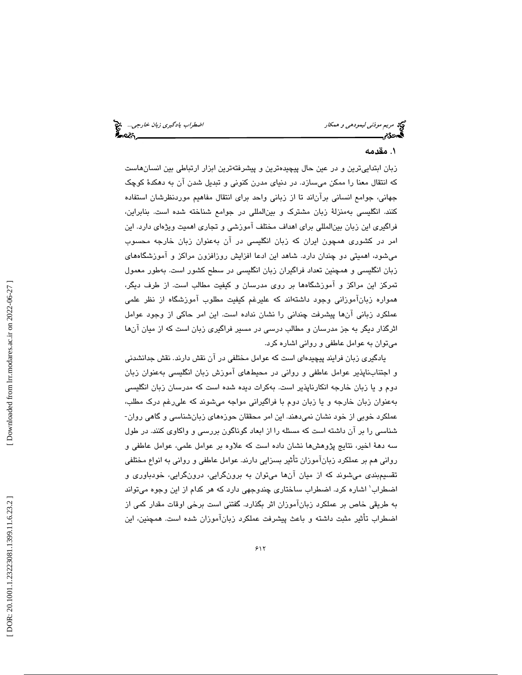اضطراب يادگيري زبان خارجي... چي<del>.</del><br>اضطراب يادگيري

مريم *موذني ليمودهي و همكار*<br>وي مريم<br>**اگسرديم** 

### 1. مقدمه

زبان ابتداييترين و در عين حال پيچيدهترين و پيشرفتهترين ابزار ارتباطي بين انسانهاست كه انتقال معنا را ممكن ميسازد. در دنياي مدرن كنوني و تبديل شدن آن به دهكد ة كوچك جهاني، جوامع انساني برآناند تا از زباني واحد براي انتقال مفاهيم موردنظرشان استفاده كنند. انگليسي بهمنزلة زبان مشترك و بينالمللي در جوامع شناخته شده است. بنابراين ، فراگيري اين زبان بينالمللي براي اهداف مختلف آموزشي و تجاري اهميت ويژهاي دارد. اين امر در كشوري همچون ايران كه زبان انگليسي در آن بهعنوان زبان خارجه محسوب ميشود، اهميتي دو چندان دارد. شاهد اين ادعا افزايش روزافزون مراكز و آموزشگاههاي زبان انگليسي و همچنين تعداد فراگيران زبان انگليسي در سطح كشور است. به طور معمول تمركز اين مراكز و آموزشگاهها بر روي مدرسان و كيفيت مطالب است. از طرف ديگر، همواره زبانآموزاني وجود داشتهاند كه عليرغم كيفيت مطلوب آموزشگاه از نظر علمي عملكرد زباني آنها پيشرفت چنداني را نشان نداده است. اين امر حاكي از وجود عوامل اثرگذار ديگر به جز مدرسان و مطالب درسي در مسير فراگيري زبان است كه از ميان آن ها ميتوان به عوامل عاطفي و رواني اشاره كرد.

يادگيري زبان فرايند پيچيدهاي است كه عوامل مختلفي در آن نقش دارند. نقش جدانشدني و اجتنابناپذير عوامل عاطفي و رواني در محيطهاي آموزش زبان انگليسي بهعنوان زبان دوم و يا زبان خارجه انكارناپذير است. بهكرات ديده شده است كه مدرسان زبان انگليسي بهعنوان زبان خارجه و يا زبان دوم با فراگيراني مواجه ميشوند كه عليرغم درك مطلب ، عملکرد خوبی از خود نشان نمیدهند. این امر محققان حوزههای زبانشناسی و گاهی روان-شناسي را بر آن داشته است كه مسئله را از ابعاد گوناگون بررسي و واكاوي كنند. در طول سه دههٔ اخير، نتايج پژوهشها نشان داده است كه علاوه بر عوامل علمي، عوامل عاطفي و رواني هم بر عملكرد زبانآموزان تأثير بسزايي دارند. عوامل عاطفي و رواني به انواع مختلفي تقسيمبندي ميشوند كه از ميان آن ها ميتوان به برونگرايي، درونگرايي، خودباوري و اضطراب ٰ اشاره كرد. اضطراب ساختارى چندوجهى دارد كه هر كدام از اين وجوه مىتواند به طريقي خاص بر عملكرد زبانآموزان اثر بگذارد. گفتني است برخي اوقات مقدار كمي از ثير مثبت داشته و باعث پيشرفت عملكرد زبانآموزان شده است. همچنين ، اين اضطراب تأ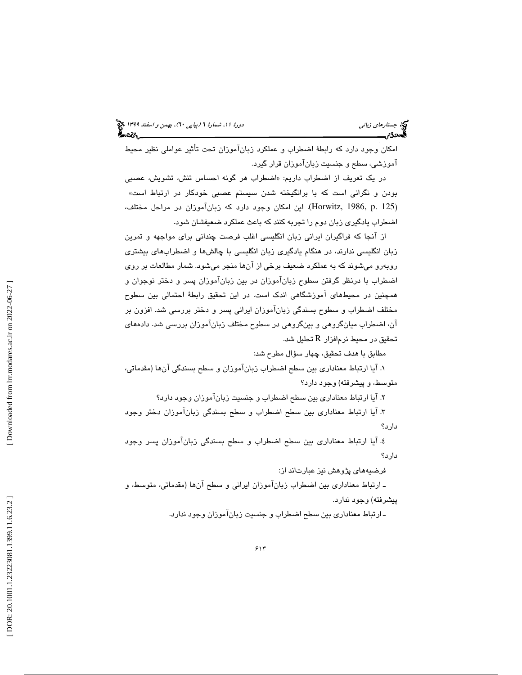امکان وجود دارد که رابطهٔ اضطراب و عملکرد زبانآموزان تحت تأثیر عواملی نظیر محیط آموزشي، سطح و جنسيت زبانآموزان قرار گيرد.

در یک تعریف از اضطراب داریم: «اضطراب هر گونه احساس تنش، تشویش، عصبی<br>بودن و نگرانی است که با برانگیخته شدن سیستم عصبی خودکار در ارتباط است» (Horwitz, 1986, p. 125). اين امكان وجود دارد كه زبانآموزان در مراحل مختلف، اضطراب يادگيري زبان دوم را تجربه كنند كه باعث عملكرد ضعيفشان شود.

از آنجا که فراگیران ایرانی زبان انگلیسی اغلب فرصت چندانی برای مواجهه و تمرین زبان انگليسي ندارند، در هنگام يادگيري زبان انگليسي با چالشها و اضطرابهاي ب يشتري روبهرو میشوند که به عملکرد ضعیف برخی از آنها منجر میشود. شمار مطالعات بر روی اضطراب با درنظر گرفتن سطوح زبانآموزان در بين زبانآموزان پسر و دختر نوجوان و همچنین در محیطهای آموزشگاهی اندک است. در این تحقیق رابطهٔ احتمالی بین سطوح مختلف اضطراب و سطوح بسندگي زبانآموزان ايراني پسر و دختر برر سي . شد افزون بر آن، اضطراب ميانگروهي و بينگروهي در سطوح مختلف زبانآموزان بررسي شد. دادههاي تحقيق در محيط نرم|فزار  ${\rm R}$  تحليل شد.

مطابق با هدف تحقيق، چهار سؤال مطرح شد:

۱. آيا ارتباط معناداري بين سطح اضطراب زبانآموزان و سطح بسندگي آنها (مقدماتي، متوسط، پ و يشرفته) وجود دارد؟

ياآ 2. ارتباط معنادار ي بين سطح اضطراب و جنس يت زبانآموزان وجود دارد؟

 3. آيا ارتباط معناداري بين سطح اضطراب و سطح بسندگي زبانآموزان دختر وجود دارد؟

 4. آيا ارتباط معناداري بين سطح اضطراب و سطح بسندگي زبانآموزان پسر وجود دارد؟

فرضيههای پژوهش نيز عبارتاند از:

ـ ارتباط معناداري بين اضطراب زبانآموزان ايراني و سطح آنها (مقدماتي، متوسط، و پيشرفته) وجود ندارد.

ـ ارتباط معنادار ي بين سطح اضطراب و جنس يت زبانآموزان وجود ندارد.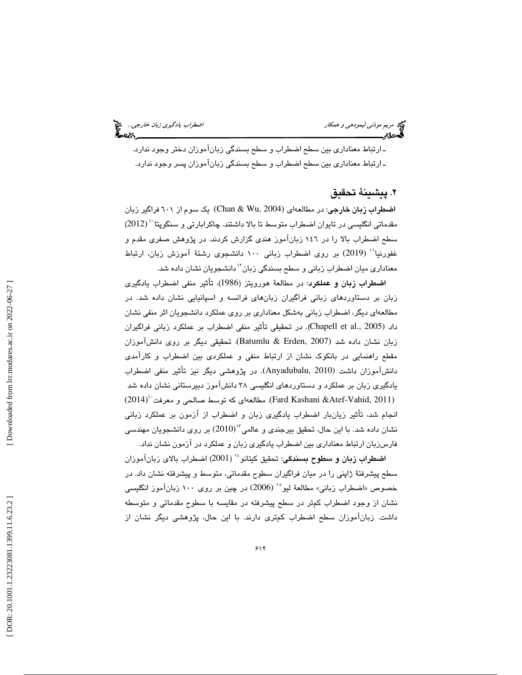مريم موذ*ني ليمودهي و همكار*<br>**مري**م موذ*ني ليمودهي و همكار* 

 ـ ارتباط معنادار ي بين سطح اضطراب و سطح بسندگ ي زبانآموزان دختر وجود ندارد . ـ ارتباط معنادار ي بين سطح اضطراب و سطح بسندگ ي زبانآموزان پسر وجود ندارد.

### 2. پيشينة تحقيق

ا**ضطراب زبان خارجی**: در مطالعهای (Chan & Wu, 2004) یک سوم از ۲۰۱ فراگیر زبان مقدماتی انگلیسی در تایوان اضطراب متوسط تا بالا داشتند. چاکرابارتی و سنگوپتا `` (2012) سطح اضطراب بالا را در 146 زبانآموز هندي گزارش كردند. در پژوهش صفري مقدم و غفورنيا'' (2019) بر روى اضطراب زبانى ١٠٠ دانشجوى رشتهٔ آموزش زبان، ارتباط معناداری میان اضطراب زبانی و سطح بسندگی زبان<sup>۱٬</sup>دانشجویان نشان داده شد.

اضطراب زبان و عملكرد: در مطالعهٔ هورويتز (1986)، تأثير منفي اضطراب يادگيري زبان بر دستاوردهای زبانی فراگیران زبانهای فرانسه و اسپانیایی نشان داده شد. در مطالعهاي ديگر، اضطراب زباني بهشكل معناداري بر روي عملكرد دانشجويان اثر منفي نشان داد (Chapell et al., 2005). در تحقيقي تأثير منفي اضطراب بر عملكرد زباني فراگيران تحقيقي ديگر بر روي دانشآموزان زبان نشان داده شد (2007 ,Erden & Batumlu(. مقطع راهنمايي در بانكوك نشان از ارتباط منفي و عملكردي بين اضطراب و كارآمدي دانشآموزان داشت (Anyadubalu, 2010). در پژوهشی دیگر نیز تأثیر منفی اضطراب يادگيري زبان بر عملكرد و دستاوردهاي انگليسي ۳۸ دانشآموز دبيرستاني نشان داده شد  $(2014)$ ' (2011). مطالعهای كه توسط صالحی و معرفت $(2014)$  (Fard Kashani &Atef-Vahid, انجام شد، تأثير زيانبار اضطراب يادگيري زبان و اضطراب از آزمون بر عملكرد زباني نشان داده شد. با این حال، تحقیق بیرجندی و عالمی $^{17}$ (2010) بر روی دانشجویان مهندسی فارسزبان ارتباط معناداري بين اضطراب يادگيري زبان و عملكرد در آزمون نشان نداد.

اضطراب زبان و سطوح بسندگي: تحقيق كيتانو<sup>،</sup>'' (2001) اضطراب بالاي زبانآموزان سطح پيشرفتهٔ ژاپني را در ميان فراگيران سطوح مقدماتي، متوسط و پيشرفته نشان داد. در خصوص «اضطراب زباني» مطالعهٔ ليو<sup>ه</sup>` (2006) در چين بر روي ۱۰۰ زبانآموز انگليسي نشان از وجود اضطراب كمتر در سطح پيشرفته در مقايسه با سطوح مقدماتي و متوسطه داشت. زبانآموزان سطح اضطراب كمتري دارند. با اين حال، پژوهشي ديگر نشان از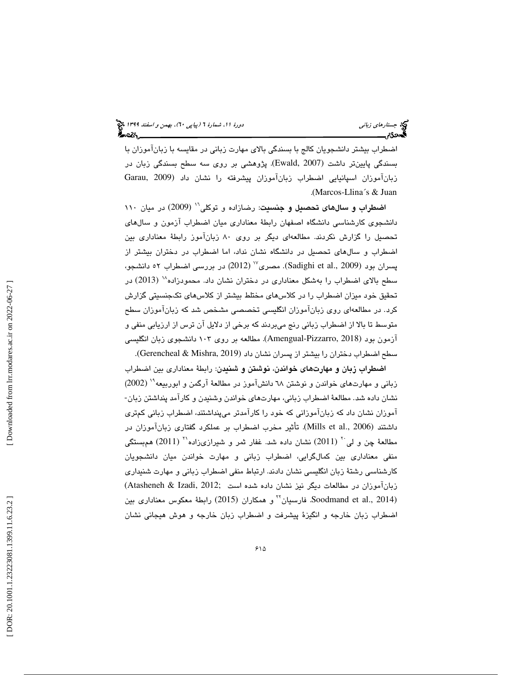اضطراب بيشتر دانشجويان كالج با بسندگي بالاي مهارت زباني در مقايسه با زبانآموزان با بسندگی پایینتر داشت (Ewald, 2007). پژوهشی بر روی سه سطح بسندگی زبان در زبانآموزان اسپانيايي اضطراب زبانآموزان پ يشرفته را نشان داد (2009 ,Garau . (Marcos-Llina´s & Juan

اضطراب و سالهاي تحصيل و جنسيت: رضازاده و توكلي<sup>11</sup> (2009) در ميان ١١٠ دانشجوی کارشناسی دانشگاه اصفهان رابطهٔ معناداری میان اضطراب آزمون و سالهای تحصیل را گزارش نکردند. مطالعهای دیگر بر روی ۸۰ زبانآموز رابطهٔ معناداری بین اضطراب و سالهاي تحصيل در دانشگاه نشان نداد، اما اضطراب در دختران بيشتر از پسران بود (Sadighi et al., 2009). مصری<sup>٬٬</sup> (2012) در بررسی اضطراب ٥٢ دانشجو، سطح بالای اضطراب را بهشكل معناداری در دختران نشان داد. محمودزاده <sup>۱۸</sup> (2013) در تحقيق خود ميزان اضطراب را در كلاسهاي مختلط بيشتر از كلاسهاي تكجنسيتي گزارش در مطالعهاي روي زبانآموزان انگليسي تخصصي مشخص شد كه زبانآموزان سطح كرد. متوسط تا بالا از اضطراب زباني رنج ميبردند كه برخي از دلايل آن ترس از ارزيابي منفي و آزمون بود (2018 ,Pizzarro-Amengual (. مطالعه بر روي 103 دانشجوي زبان انگليسي سطح اضطراب دختران را بيشتر از پسران نشان داد (2019 Gerencheal & Mishra,).

اضطراب زبان و مهارتهاي خواندن، نوشتن و شنيدن: رابطة معناداري بين اضطراب زبانی و مهارتهای خواندن و نوشتن ٦٨ دانشآموز در مطالعهٔ آرگمن و ابوربیعه<sup>۱۰</sup> (2002)<br>نشان داده شد. مطالعهٔ اضطراب زبانی، مهارتهای خواندن وشنیدن و کارآمد پنداشتن زبان-آموزان نشان داد كه زبانآموزاني كه خود را كارآمدتر ميپنداشتند، اضطراب زباني كمتري داشتند (Mills et al., 2006). تأثير مخرب اضطراب بر عملكرد گفتاري زبانآموزان در مطالعهٔ چن و لی $^{\gamma}$  (2011) نشان داده شد. غفار شر و شیرازیزاده'`` (2011) همبستگی منفي معناداري بين كمالگرايي، اضطراب زباني و مهارت خواندن ميان دانشجويان كارشناسي رشتهٔ زبان انگليسي نشان دادند. ارتباط منفي اضطراب زباني و مهارت شنيداري زبانآموزان در مطالعات ديگر نيز نشان داده شده است ;2012 (Atasheneh & Izadi, 2012 Soodmand et al., 2014). فارسيان<sup>7</sup> و همكاران (2015) رابطة معكوس معناداري بين اضطراب زبان خارجه و انگيزهٔ پيشرفت و اضطراب زبان خارجه و هوش هيجاني نشان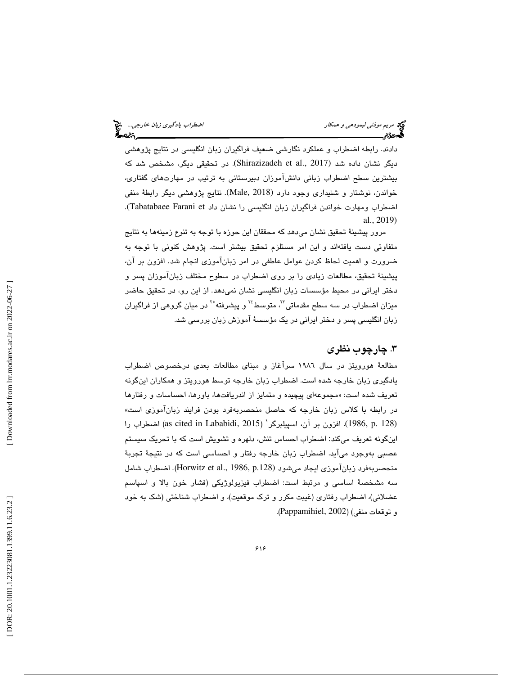لض*طراب يادگيري زبان خارجي...*<br>اضطر*اب يادگيري زبان خارجي..* 

دادند. رابطه اضطراب و عملكرد نگارشي ضعيف فراگيران زبان انگليسي در نتايج پژوهشي ديگر نشان داده شد (2017 .Shirazizadeh et al). در تحقيقي ديگر، مشخص شد كه بيشترين سطح اضطراب زباني دانشآموزان دبيرستاني به ترتيب در مهارتهاي گفتاري، خواندن، نوشتار و شنيداري وجود دارد (2018 ,Male(. نتايج پژوهشي ديگر رابطة منفي اضطراب ومهارت خواندن فراگيران زبان انگليسي را نشان داد Tabatabaee Farani et). al., 2019)

مرور پيشينهٔ تحقيق نشان ميدهد كه محققان اين حوزه با توجه به تنوع زمينهها به نتايج متفاوتي دست يافتهاند و اين امر مستلزم تحقيق بيشتر است. پژوهش كنوني با توجه به ضرورت و اهمیت لحاظ کردن عوامل عاطفی در امر زبانآموزی انجام شد. افزون بر آن، پيشينهٔ تحقيق، مطالعات زيادي را بر روي اضطراب در سطوح مختلف زبانآموزان پسر و دختر ايراني در محيط مؤسسات زبان انگليسي نشان نميدهد. از اين رو، در تحقيق حاضر میزان اضطراب در سه سطح مقدماتی™، متوسط<sup>۲۶</sup> و پیشرفته°<sup>۲</sup> در میان گروهی از فراگیران زبان انگلیسی پسر و دختر ایرانی در یک مؤسسهٔ آموزش زبان بررسی شد.

## . چارچوب نظري 3

مطالعهٔ هورویتز در سال ۱۹۸۲ سرآغاز و مبنای مطالعات بعدی درخصوص اضطراب يادگيري زبان خارجه شده است. اضطراب زبان خارجه توسط هورويتز و همكاران اينگونه تعريف شده است: «مجموعهاى پيچيده و متمايز از اندريافتها، باورها، احساسات و رفتارها در رابطه با كلاس زبان خارجه كه حاصل منحصربهفرد بودن فرایند زبانآموزی است» اضطراب را (1986, p. 128). افزون بر آن، اسپیلبرگر<sup>\</sup> (2015 as cited in Lababidi, 2015) اضطراب را اينگونه تعريف ميكند: اضطراب احساس تنش، دلهره و تشويش است كه با تحريک سيستم عصبي بهوجود ميآيد. اضطراب زبان خارجه رفتار و احساسي است كه در نتيجهٔ تجربهٔ منحصربهفرد زبانآموزی ایجاد میشود (Horwitz et al., 1986, p.128). اضطراب شامل سه مشخصة اساسي و مرتبط است: اضطراب فيزيولوژيكي (فشار خون بالا و اسپاسم عضلانی)، اضطراب رفتاری (غيبت مكرر و ترك موقعيت)، و اضطراب شناختی (شك به خود و توقعات منفي) (2002 ,Pappamihiel(.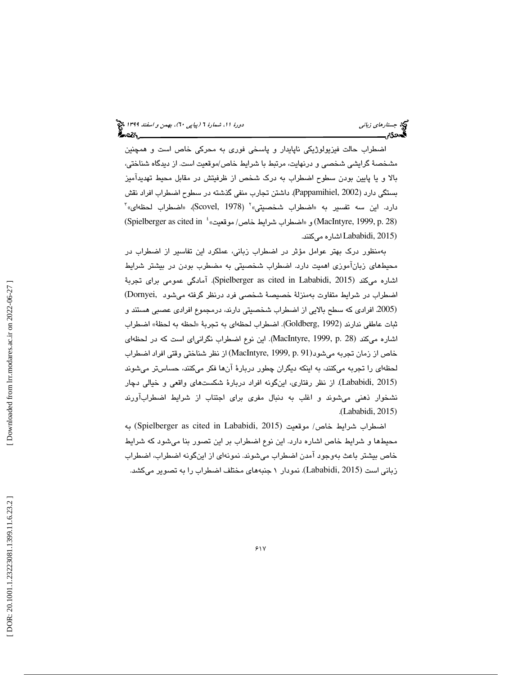جستاره*اي زباني (بياپي 60)، بهمن و اسفند 1*394 فرانس به 130 دورة ا $\mu$  شمارة 1 (پياپي 61)، بهم*ن و اسفند 1*34 فر ક્રિન્ટ∛∖\_

اضطراب حالت فيزيولوژيكي ناپايدار و پاسخي فوري به محركي خاص است و همچنين مشخصة گرايشي شخصي و درنهايت، مرتبط با شرايط خاص/موقعيت است. از ديدگاه شناختي، بالا يا و پايين بودن سطوح اضطراب به درك شخص از ظرفيتش در مقابل محيط تهديدآميز (Spielberger as cited in  $\frac{1}{2}$ بسنگي دارد (2002 .Pappamihiel). داشتن تجارب منفي گذشته در سطوح اضطراب افراد نقش<br>دارد. اين سه تفسير به «اضطراب شخصيتي»<sup>؟</sup> ( Scovel, 1978)، «اضطراب لحظهاي» ً (2015 ,Lababidi اشاره ميكنند .

بهمنظور درك بهتر عوامل مؤثر در اضطراب زباني، عملكرد اين تفاسير از اضطراب در محيطهای زبانآموزی اهميت دارد. اضطراب شخصيتی به مضطرب بودن در بيشتر شرايط اشاره ميكند (Spielberger as cited in Lababidi, 2015). آمادگي عمومي براي تجربهٔ اضطراب در شرايط متفاوت به منزلة خصيصة شخصي فرد درنظر گرفته ميشود ,Dornyei( (.2005 افرادي كه سطح بالايي از اضطراب شخصيتي دارند، درمجموع افرادي عصبي هستند و ثبات عاطفي ندارند (Goldberg, 1992). اضطراب لحظهاي به تجربهٔ «لحظه به لحظهٔ» اضطراب اشاره میكند (28 .MacIntyre, 1999, p. این نوع اضطراب نگرانیای است كه در لحظهای خاص از زمان تجربه ميشود(91 .MacIntyre, 1999, p) از نظر شناختي وقتي افراد اضطراب لحظهای را تجربه میكنند، به اینكه دیگران چطور دربارهٔ آنها فكر میكنند، حساستر میشوند (Lababidi, 2015). از نظر رفتاري، اينگونه افراد دربارهٔ شكستهاي واقعي و خيالي دچار نشخوار ذهنی میشوند و اغلب به دنبال مفری برای اجتناب از شرایط اضطرابآورند .(Lababidi, 2015)

اضطراب شرايط خاص / موقعيت (2015 ,Lababidi in cited as Spielberger (به محيط ها و شرا يط خاص اشاره دارد. اين نوع اضطراب بر اين تصور بنا ميشود كه شرا يط خاص بیشتر باعث بەوجود آمدن اضطراب میشوند. نمونەای از اینگونه اضطراب، اضطراب<br>زبانی است (Lababidi, 2015). نمودار ۱ جنبههای مختلف اضطراب را به تصویر میکشد.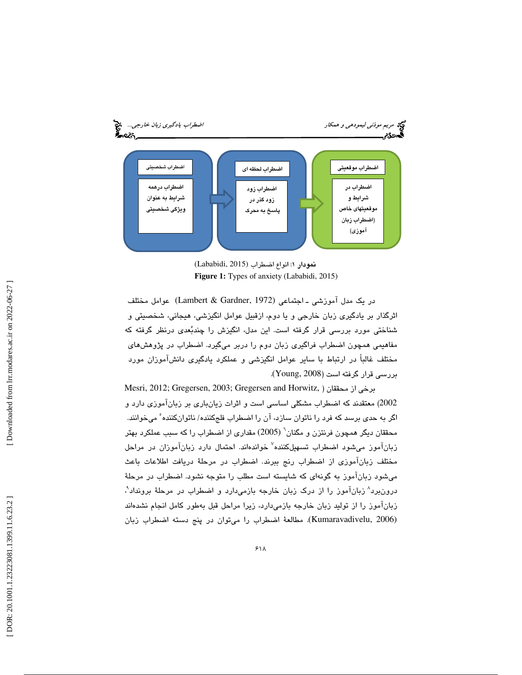

نمودار ۱: انواع اضطراب (Lababidi, 2015) **Figure 1:** Types of anxiety (Lababidi, 2015)

در يک مدل آموزشي ـ اجتماعي (Lambert & Gardner, 1972) عوامل مختلف<br>اثرگذار بر يادگيري زبان خارجي و يا دوم، ازقبيل عوامل انگيزشي، هيجاني، شخصيتي و شناختی مورد بررسی قرار گرفته است. این مدل، انگیزش را چندبُعدی درنظر گرفته که مفاهیمی همچون اضطراب فراگیری زبان دوم را دربر میگیرد. اضطراب در پژوهشهای مختلف غالباً در ارتباط با ساير عوامل انگيزشى و عملكرد يادگيرى دانشآموزان مورد بررسي قرار گرفته است (2008 ,Young (.

Mesri, 2012; Gregersen, 2003; Gregersen and Horwitz, ) محققان از برخي 2002) معتقدند كه اضطراب مشكلي اساسي است و اثرات زيانباري بر زبانآموزي دارد و اگر به حدی برسد که فرد را ناتوان سازد، آن را اضطراب فلجکننده/ ناتوانکننده ْ میخوانند. محققان دیگر همچون فرنتزن و مگنان<sup>י</sup> (2005) مقداری از اضطراب را که سبب عملکرد بهتر زبانآموز میشود اضطراب تسهیلکننده<sup>۷</sup> خواندهاند. احتمال دارد زبانآموزان در مراحل مختلف زبانآموزی از اضطراب رنج ببرند. اضطراب در مرحلهٔ دریافت اطلاعات باعث میشود زبانآموز به گونهای که شایسته است مطلب را متوجه نشود. اضطراب در مرحلهٔ درون برد^ زبانآموز را از درک زبان خارجه بازمیدارد و اضطراب در مرحلهٔ برونداد ْ، زبانآموز را از توليد زبان خارجه بازميدارد، زيرا مراحل قبل بهطور كامل انجام نشدهاند (2006 ,Kumaravadivelu(. مطالعة اضطراب را ميتوان در پنج دسته اضطراب زبان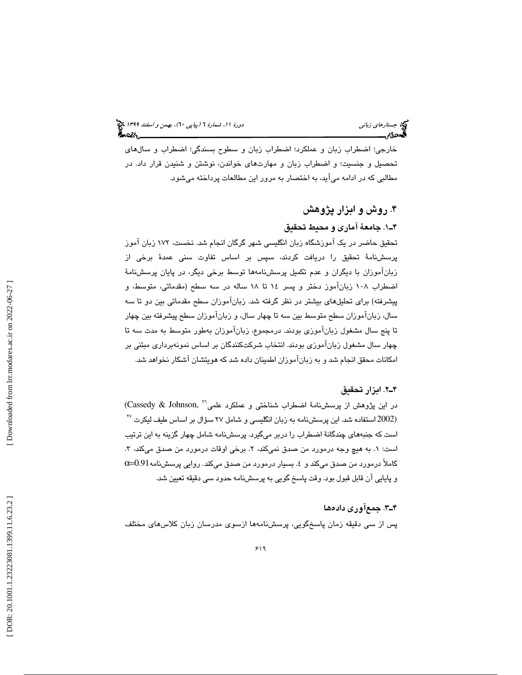خارجي؛ اضطراب زبان و عملكرد؛ اضطراب زبان و سطوح بسندگي؛ اضطراب و سالهاي تحصيل و جنسيت؛ و اضطراب زبان و مهارتهاي خواندن، نوشتن و شنيدن قرار داد. در مطالبی كه در ادامه میآید، به اختصار به مرور این مطالعات پرداخته میشود.

# . 4 روش و ابزار پژوهش ۴ــ١. جامعهٔ آماري و محبط تحقيق

تحقيق حاضر در يک آموزشگاه زبان انگليسي شهر گرگان انجام شد. نخست، ۱۷۲ زبان آموز پرسشنامة تحقيق را دريافت كردند، سپس بر اساس تفاوت سني عمدة برخي از زبانآموزان با ديگران و عدم تكميل پرسشنامهها توسط برخي ديگر، در پايان پرسشنام ة اضطراب ١٠٨ زبانآموز دختر و پسر ١٤ تا ١٨ ساله در سه سطح (مقدماتي، متوسط، و پيشرفته) براي تحليلهاي بيشتر در نظر گرفته شد. زبانآموزان سطح مقدماتي بين دو تا سه سال، زبانآموزان سطح متوسط بين سه تا چهار سال، و زبانآموزان سطح پيشرفته بين چهار تا پنج سال مشغول زبانآموزي بودند . درمجموع، زبانآموزان به طور متوسط به مدت سه تا چهار سال مشغول زبانآموزي بودند. انتخاب شركتكنندگان بر اساس نمونهبردار ي مبتن ي بر امكانات محقق انجام شد و به زبانآموزان اطمينان داده شد كه هويتشان آشكار نخواهد شد.

### رازاب 2.ـ4 تحقيق

در اين پژوهش از پرسشنامهٔ اضطراب شناختی و عملكرد علمی<sup>۲۲</sup> ,Cassedy & Johnson)  $^{\text{IV}}$  استفاده شد. این پرسشنامه به زبان انگلیسی و شامل ۲۷ سؤال بر اساس طیف لیکرت $^{^{17}}$ است كه جنبههای چندگانهٔ اضطراب را دربر میگیرد. پرسشنامه شامل چهار گزینه به این ترتیب است: ۱. به هیچ وجه درمورد من صدق نمیکند، ۲. برخی اوقات درمورد من صدق میکند، ۳. كاملاً درمورد من صدق میكند و ٤. بسیار درمورد من صدق میكند. روایی پرسشنامه 0.91=0٪ و پايايي آن قابل قبول بود. وقت پاسخ گويي به پرسشنامه حدود سي دقيقه تعيين شد.

### ۴ــ۳. جمعآوری دادهها

پس از سى دقيقه زمان پاسخگويي، پرسشنامهها ازسوى مدرسان زبان كلاسهاى مختلف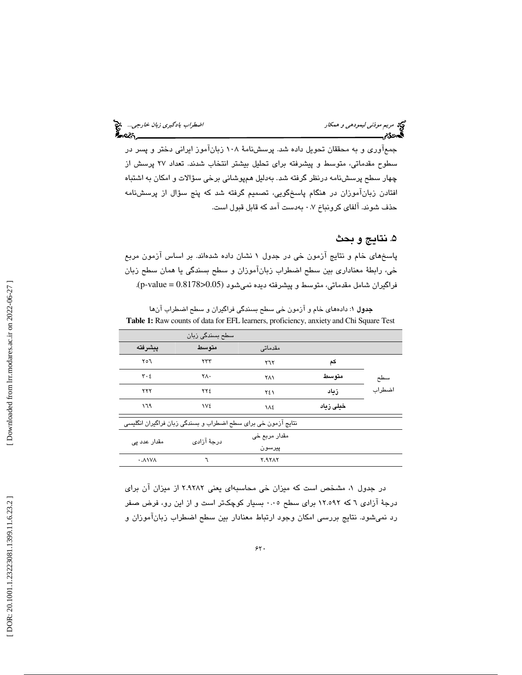| اضطراب يادگيري زبان خارجي . * | مريم موذنى ليمودهى و همكار |
|-------------------------------|----------------------------|
| -025                          | ، جو                       |

جمعآوری و به محققان تحویل داده شد. پرسشنامهٔ ۱۰۸ زبانآموز ایرانی دختر و پسر در سطوح مقدماتی، متوسط و پیشرفته برای تحلیل بیشتر انتخاب شدند. تعداد ۲۷ پرسش از چهار سطح پرسشنامه درنظر گرفته شد. بهدلیل همپوشانی برخی سؤالات و امکان به اشتباه افتادن زبانآموزان در هنگام پاسخگویی، تصمیم گرفته شد كه پنج سؤال از پرسشنامه حذف شوند. آلفاي كرونباخ ۰.۷ بهدست آمد كه قابل قبول است.

## ۵. نتايج و بحث

پاسخهای خام و نتایج آزمون خی در جدول ۱ نشان داده شدهاند. بر اساس آزمون مربع خي، رابطهٔ معناداري بين سطح اضطراب زبانآموزان و سطح بسندگي يا همان سطح زبان فراگيران شامل مقدماتی، متوسط و پيشرفته ديده نمیشود (p-value =  $0.8178\text{> }0.05$ ).

**جدول ۱**: دادههای خام و آزمون خی سطح بسندگی فراگیران و سطح اضطراب آنها **Table 1:** Raw counts of data for EFL learners, proficiency, anxiety and Chi Square Test

|                                 | سطح بسندگی زبان                                               |               |           |        |
|---------------------------------|---------------------------------------------------------------|---------------|-----------|--------|
| ييشرفته                         | متوسط                                                         | مقدماتی       |           |        |
| ۲٥٦                             | ۲۳۳                                                           | ۲٦٢           | کم        |        |
| $\mathbf{r} \cdot \mathbf{r}$   | ۲Λ٠                                                           | ٢٨١           | متوسط     | سطح    |
| ۲۲۲                             | ٢٢٤                                                           | ٢٤١           | زىاد      | اضطراب |
| ۱٦۹                             | <b>IVE</b>                                                    | ١٨٤           | خیلی زیاد |        |
|                                 | نتایج آزمون خی برای سطح اضطراب و بسندگی زبان فراگیران انگلیسی |               |           |        |
| مقدار عدد ہے،                   | درجهٔ آزادی                                                   | مقدار مربع خي |           |        |
|                                 |                                                               | پيرسون        |           |        |
| $\cdot$ . $\wedge$ $\vee\wedge$ | ٦                                                             | <b>7.97AY</b> |           |        |

در جدول ١، مشخص است كه ميزان خي محاسبهاى يعني ٢.٩٢٨٢ از ميزان آن براى درجهٔ آزادی ٦ که ١٢.٥٩٢ برای سطح ٠.٠٥ بسیار کوچکتر است و از این رو، فرض صفر رد نمي شود. نتايج بررسي امكان وجود ارتباط معنادار بين سطح اضطراب زبانآموزان و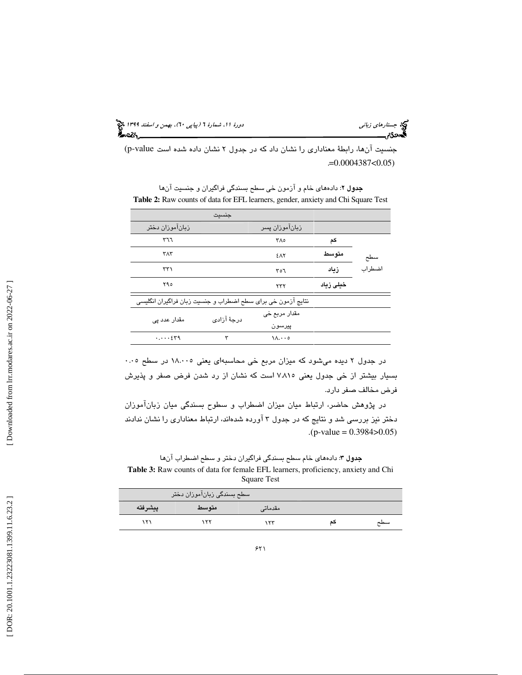جستاره*اي زباني (بياپي 60)، بهمن و اسفند 1*394 فرانس به 130 دورة ا $\mu$  شمارة 1 (پياپي 61)، بهم*ن و اسفند 1*34 فر

جنسيت آنها، رابطة معناداري را نشان داد كه در جدول ٢ نشان داده شده است p-value) . =0.0004387<0.05)

جدول ٢: دادههاي خام و آزمون خي سطح بسندگي فراگيران و جنسيت آنها **Table 2:** Raw counts of data for EFL learners, gender, anxiety and Chi Square Test

|                                                              | جنسيت       |                  |           |        |
|--------------------------------------------------------------|-------------|------------------|-----------|--------|
| زباناموزان دختر                                              |             | زبان!موزان پسر   |           |        |
| ٣٦٦                                                          |             | ٣٨٥              | کم        |        |
| ۳۸۳                                                          |             | <b>EAY</b>       | متوسط     | سطح    |
| ۳۳۱                                                          |             | ۳٥٦              | زىاد      | اضطراب |
| ۲۹٥                                                          |             | ۲۳۲              | خیلی زیاد |        |
| نتایج آزمون خی برای سطح اضطراب و جنسیت زبان فراگیران انگلیسی |             |                  |           |        |
| مقدار عدد یے                                                 | درجهٔ آزادی | مقدار مربع خی    |           |        |
|                                                              |             | پيرسون           |           |        |
| $\cdots$                                                     | ٣           | $\Lambda \ldots$ |           |        |

در جدول ۲ دیده میشود که میزان مربع خی محاسبهای یعنی ۱۸.۰۰۵ در سطح ۰.۰۵ بسيار بيشتر از خي جدول يعني ٧.٨١٥ است كه نشان از رد شدن فرض صفر و پذيرش فرض مخالف صفر دارد.

 در پژوهش حاضر، ارتباط ميان ميزان اضطراب و سطوح بسندگي ميان زبانآموزان دختر نيز بررسي شد و نتايج كه در جدول ۳ آورده شدهاند، ارتباط معناداري را نشان ندادند  $(p-value = 0.3984 > 0.05)$ 

جدول ۳: دادههای خام سطح بسندگی فراگیران دختر و سطح اضطراب آنها **Table 3:** Raw counts of data for female EFL learners, proficiency, anxiety and Chi Square Test

|         | سطح بسندگی زبانآموزان دختر |         |     |
|---------|----------------------------|---------|-----|
| ييشرفته | متوسط                      | مقدماتے |     |
| ۱۲۱     | ۱۲۲                        | ۱۲۳     | سطح |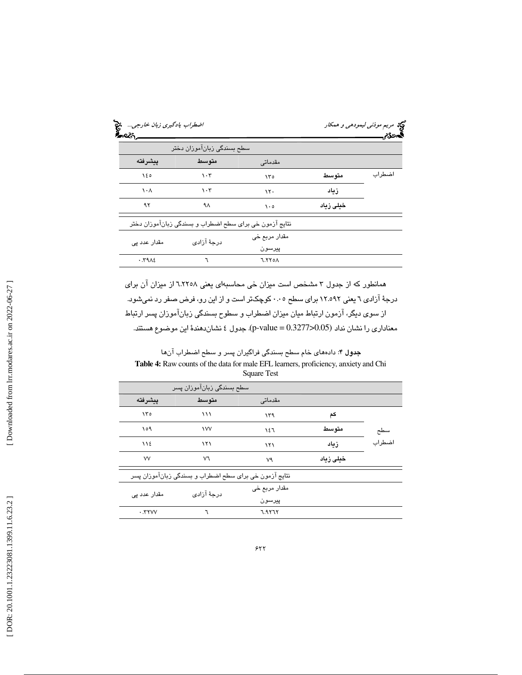|          |               | سطح بسندگی زبانآموزان دختر                              |              |
|----------|---------------|---------------------------------------------------------|--------------|
|          | مقدماتی       | متوسط                                                   | ييشرفته      |
| متوسط    | ۱۳٥           | ۱۰۳                                                     | ۱٤٥          |
| زياد     | $\mathcal{N}$ | ۱۰۳                                                     | ۱۰۸          |
| خطی زباد | $\cdot \circ$ | ۹۸                                                      | ۹۲           |
|          |               | نتایج آزمون خی برای سطح اضطراب و بسندگی زبانآموزان دختر |              |
|          | مقدار مربع خي | درجهٔ آزادی                                             | مقدار عدد یے |
|          | پيرسون        |                                                         |              |
|          | <b>7.770A</b> |                                                         | .79          |

همانطور كه از جدول ۳ مشخص است ميزان خي محاسبهاي يعني 1.۲۲۰۸ از ميزان آن براي<br>درجهٔ آزادي ٦ يعني ١٢.٥٩٢ براي سطح ٠.٠٥ كوچكتر است و از اين رو، فرض صفر رد نميشود. از سوي ديگر، آزمون ارتباط ميان ميزان اضطراب و سطوح بسندگي زبانآموزان پسر ارتباط معناداري را نشان نداد (0.05<0.3277 p-value). جدول ٤ نشاندهندهٔ اين موضوع هستند.

**جدول ۴:** دادههای خام سطح بسندگی فراگیران پسر و سطح اضطراب آنها **Table 4:** Raw counts of the data for male EFL learners, proficiency, anxiety and Chi Square Test

|                                            | سطح بسندگی زبان!موزان پسر                              |               |           |        |
|--------------------------------------------|--------------------------------------------------------|---------------|-----------|--------|
| بيشرفته                                    | متوسط                                                  | مقدماتی       |           |        |
| ۱۳۰                                        | ۱۱۱                                                    | ۱۳۹           | کم        |        |
| ۱٥۹                                        | <b>IVV</b>                                             | ١٤٦           | متو سط    | سطح    |
| ١١٤                                        | ۱۲۱                                                    | ۱۲۱           | زىاد      | اضطراب |
| <b>VV</b>                                  | v٦                                                     | ٧٩            | خیلی زیاد |        |
|                                            | نتايج آزمون خي براي سطح اضطراب و بسندگي زبانآموزان پسر |               |           |        |
| مقدار عدد یے                               | درجهٔ آزادی                                            | مقدار مربع خي |           |        |
|                                            |                                                        | پيرسون        |           |        |
| $\cdot$ . $\mathsf{r}\mathsf{v}\mathsf{v}$ |                                                        | 7.9777        |           |        |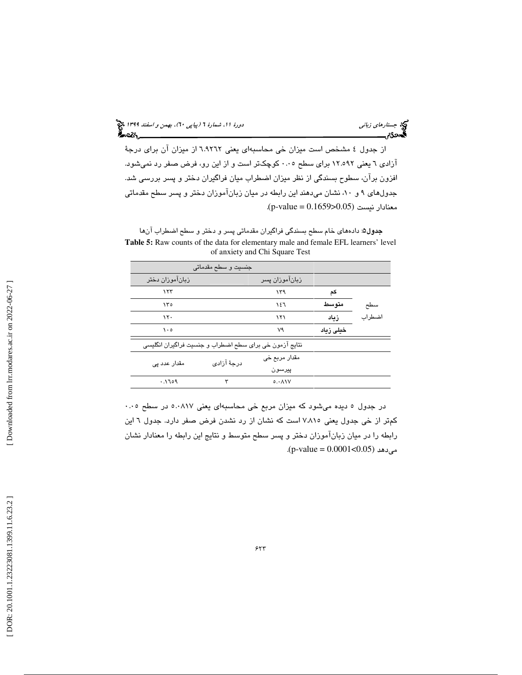د*ورهٔ ۱۱: شمارهٔ ۲ (پیاپی ۲۰)، بهمن و اسفند ۱۳۹۹* می<mark>خ</mark><br>**گفت: استان** 

جبتا ر*هاي زباني*<br>دورة موردة مسمود <u>بي</u>ر

از جدول ٤ مشخص است ميزان خي محاسبهاي يعني ٦.٩٢٦٢ از ميزان آن براي درجة آزادی ٦ يعني ١٢.٥٩٢ برای سطح ٠.٠٥ كوچك تر است و از اين رو، فرض صفر رد نميشود. افزون برآن، سطوح بسندگي از نظر ميزان اضطراب ميان فراگيران دختر و پسر بررسي شد. جدولهای ۹ و ۱۰، نشان میدهند این رابطه در میان زبانآموزان دختر و پسر سطح مقدماتی معنادار نيست (0.055-0.1659).

جدول۵: دادههاي خام سطح بسندگي فراگيران مقدماتي پسر و دختر و سطح اضطراب آنها **Table 5:** Raw counts of the data for elementary male and female EFL learners' level of anxiety and Chi Square Test

|                                                         | جنسيت و سطح مقدماتی |                |           |        |
|---------------------------------------------------------|---------------------|----------------|-----------|--------|
| زبانآموزان دختر                                         |                     | زباناموزان پسر |           |        |
| ۱۲۳                                                     |                     | ۱۳۹            | کم        |        |
| ۱۳٥                                                     |                     | ۱٤٦            | متوسط     | سطح    |
| ۱۲۰                                                     |                     | ۱۲۱            | زياد      | اضطراب |
| ه ۱۰                                                    |                     | ٧٩             | خیلی زیاد |        |
| نتايج آزمون خي براي سطح اضطراب و جنسيت فراگيران انگليسي |                     |                |           |        |
| مقدار عدد پی                                            | درجهٔ آزادی         | مقدار مربع خي  |           |        |
|                                                         |                     | پيرسون         |           |        |
| ۱٦٥٩.                                                   | ٣                   | 0.011V         |           |        |

در جدول ٥ ديده ميشود كه ميزان مربع خي محاسبهاي يعني ٥.٠٨١٧ در سطح ٠.٠٥ كمتر از خي جدول يعني ٧.٨١٥ است كه نشان از رد نشدن فرض صفر دارد. جدول ٦ اين رابطه را در ميان زبانآموزان دختر و پسر سطح متوسط و نتايج اين رابطه را معنادار نشان . (p-value = 0.0001<0.05) ميدهد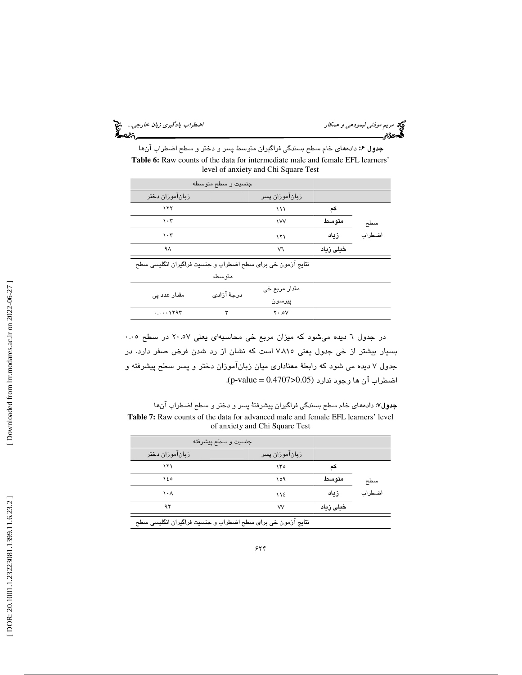ليمودهي و همكار اضطراب يادگيري زبان خارجي...

مريم *موذني ليمودهي و همكار*<br>پهر**دگئري مستقل مورد مي**<br>پهر**دگئري مستقل مورد** 

**جدول ۶:** دادههاي خام سطح بسندگي فراگيران متوسط پسر و دختر و سطح اضطراب آنها **Table 6:** Raw counts of the data for intermediate male and female EFL learners' level of anxiety and Chi Square Test

|                                                             | جنسيت و سطح متوسطه |                         |           |        |
|-------------------------------------------------------------|--------------------|-------------------------|-----------|--------|
| زباناموزان دختر                                             |                    | زبان!موزان پسر          |           |        |
| ۱۲۲                                                         |                    | ۱۱۱                     | کم        |        |
| $\cdot$ ۳                                                   |                    | <b>IVV</b>              | متوسط     | سطح    |
| $\cdot$ ۳                                                   |                    | ۱۲۱                     | زياد      | اضطراب |
| ۹۸                                                          |                    | v٦                      | خیلی زیاد |        |
| نتایج آزمون خی برای سطح اضطراب و جنسیت فراگیران انگلیسی سطح |                    |                         |           |        |
|                                                             | متوسطه             |                         |           |        |
| مقدار عدد یے                                                | درجهٔ آزادی        | مقدار مربع خي<br>پيرسون |           |        |
| $\cdots$                                                    | ٣                  | $Y \cdot .0V$           |           |        |

در جدول ٦ ديده ميشود كه ميزان مربع خي محاسبهاي يعني ٢٠.٥٧ در سطح ٠.٠٥ بسيار بيشتر از خي جدول يعني 815 .7 است كه نشان از رد شدن فرض صفر دارد . در جدول ۷ ديده مي شود كه رابطهٔ معناداري ميان زبانآموزان دختر و پسر سطح پيشرفته و اضطراب آن ها وجود ندارد (0.05<0.4707 = value-p (.

**جدول۷**: دادههای خام سطح بسندگی فراگیران پیشرفتهٔ پسر و دختر و سطح اضطراب آنها **Table 7:** Raw counts of the data for advanced male and female EFL learners' level of anxiety and Chi Square Test

| جنسيت و سطح پيشرفته                                         |                |          |        |
|-------------------------------------------------------------|----------------|----------|--------|
| زبانآموزان دختر                                             | زبان!موزان پسر |          |        |
| ۱۲۱                                                         | ۱۳٥            | کد       |        |
| ۱٤٥                                                         | ۱٥۹            | متو سط   | سطح    |
| ۱۰۸                                                         | ١١٤            | زياد     | اضطراب |
| ۹۲                                                          | w              | خطی زماد |        |
| نتایج ازمون خی برای سطح اضطراب و جنسیت فراگیران انگلیسی سطح |                |          |        |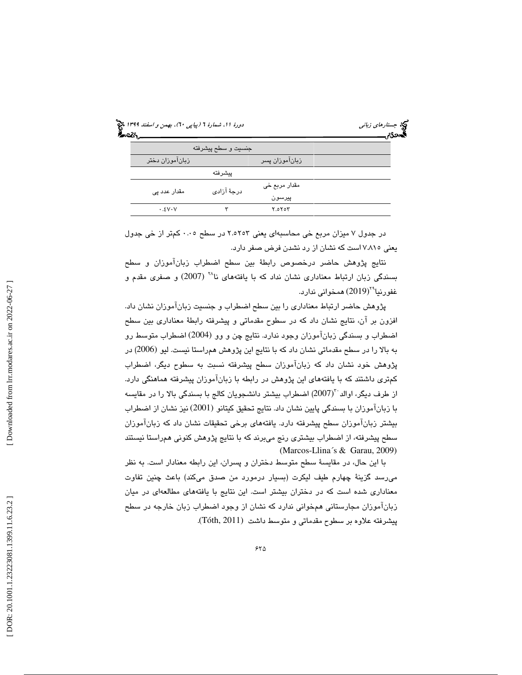| دورهٔ ۱۱، شمارهٔ ۲ (پیاپی ۲۰)، بهمن و <i>اسفند ۱۳۹۹</i> چخ<br>مورهٔ ۱۱، شمارهٔ ۲ (پی <i>اپی</i> ۲۰)، بهمن و <i>اسفند</i> |                     |                | دی جستار <i>های زبانی</i><br><b>کمیددی میستند</b> |
|--------------------------------------------------------------------------------------------------------------------------|---------------------|----------------|---------------------------------------------------|
|                                                                                                                          | جنسيت و سطح پيشرفته |                |                                                   |
| زبانآموزان دختر                                                                                                          |                     | زبانآموزان پسر |                                                   |
|                                                                                                                          | ييشرفته             |                |                                                   |
| مقدار عدد پی                                                                                                             | درجهٔ آزادی         | مقدار مربع خي  |                                                   |
|                                                                                                                          |                     | پيرسون         |                                                   |
| .5VVV                                                                                                                    | ٣                   | Y.0Y0Y         |                                                   |

در جدول ۷ میزان مربع خی محاسبه ای یعنی ۲.۵۲۵۳ در سطح ۰.۰۵ كمتر از خی جدول يعني 7.815 است كه نشان از رد نشدن فرض صفر دارد .

نتايج پژوهش حاضر درخصوص رابطهٔ بين سطح اضطراب زبانآموزان و سطح بسندگی زبان ارتباط معناداری نشان نداد که با یافتههای نا<sup>۲۸</sup> (2007) و صفری مقدم و 29 غفورنيا (2019) همخواني ندارد .

پژوهش حاضر ارتباط معنادار ي را بين سطح اضطراب و جنسيت زبانآموزان نشان داد. افزون بر آن، نتايج نشان داد كه در سطوح مقدماتي و پيشرفته رابطهٔ معناداري بين سطح اضطراب و بسندگی زبانآموزان وجود ندارد. نتايج چن و وو (2004) اضطراب متوسط رو به بالا را در سطح مقدماتی نشان داد كه با نتایج این پژوهش همراستا نیست. لیو (2006) در پژوهش خود نشان داد كه زبانآموزان سطح پيشرفته نسبت به سطوح ديگر، اضطراب كمترى داشتند كه با يافتههاي اين پژوهش در رابطه با زبانآموزان پيشرفته هماهنگي دارد. از طرف ديگر، اوالد<sup>. ت</sup>(2007) اضطراب بيشتر دانشجويان كالج با بسندگي بالا را در مقايسه با زبانآموزان با بسندگي پا يين نشان داد. نتا يج تحق يق كيتانو (2001) نيز نشان از اضطراب بيشتر زبانآموزان سطح پيشرفته دارد. يافتههاي برخي تحقيقات نشان داد كه زبانآموزان سطح پيشرفته، از اضطراب بيشتري رنج ميبرند كه با نتا يج پژوهش كنوني همراستا نيستند (Marcos-Llina´s & Garau, 2009)

با اين حال، در مقايسة سطح متوسط دختران و پسران، اين رابطه معنادار است. به نظر می٫رسد گزینهٔ چهارم طیف لیکرت (بسیار درمورد من صدق میکند) باعث چنین تفاوت معناداری شده است كه در دختران بیشتر است. این نتایج با یافتههای مطالعهای در میان زبانآموزان مجارستانی همخوانی ندارد كه نشان از وجود اضطراب زبان خارجه در سطح پيشرفته علاوه بر سطوح مقدماتي و متوسط داشت (Tóth, 2011).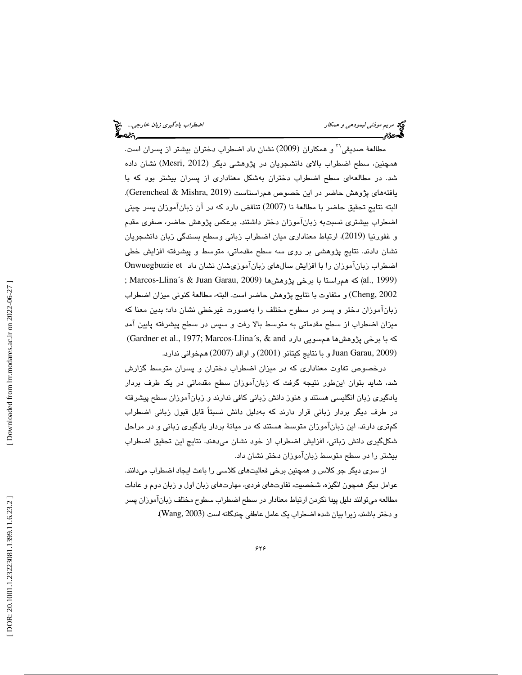مريم *موذني ليمودهي و همكار*<br>مريم مريم موذ*ني ليمودهي و* هم*كار*<br>گ**مودي**م

مطالعهٔ صدیقی<sup>۲۰</sup> و همکاران (2009) نشان داد اضطراب دختران بیشتر از پسران است. همچنين، سطح اضطراب بالای دانشجويان در پژوهشی ديگر (Mesri, 2012) نشان داده شد. در مطالعهاي سطح اضطراب دختران به شكل معناداري از پسران بيشتر بود با كه يافتههاي پژوهش حاضر در اين خصوص همراستاست (2019 ,Mishra & Gerencheal(. البته نتايج تحقيق حاضر با مطالعهٔ نا (2007) تناقض دارد كه در آن زبانآموزان پسر چيني اضطراب بيشتري نسبت به زبانآموزان دختر داشتند. برعكس پژوهش حاضر، صفري مقدم و غفورنيا (2019) ، ارتباط معناداري ميان اضطراب زباني وسطح بسندگي زبان دانشجويان نشان دادند. نتايج پژوهشي بر روي سه سطح مقدماتي، متوسط و پيشرفته افزايش خطي اضطراب زبانآموزان را با افزایش سالهای زبانآموزیشان نشان داد Onwuegbuzie et ; Marcos-Llina´s & Juan Garau, 2009) پا برخی بژوهش ها (1099 ; Marcos-Llina´s & Juan Garau, 1 2002 ,Cheng) و متفاوت با نتايج پژوهش حاضر است. البته، مطالعهٔ كنوني ميزان اضطراب زبانآموزان دختر و پسر در سطوح مختلف را بهصورت غيرخطي نشان داد؛ بدين معنا كه ميزان اضطراب از سطح مقدماتي به متوسط بالا رفت و سپس در سطح پيشرفته پايين آمد (Gardner et al., 1977; Marcos-Llina´s, & and دارد (Gardner et al., 1977; (Juan Garau, 2009 و با نتايج كيتانو (2001) و اوالد (2007) همخواني ندارد.

درخصوص تفاوت معناداری که در میزان اضطراب دختران و پسران متوسط گزارش شد، شايد بتوان اينطور نتيجه گرفت كه زبانآموزان سطح مقدماتي در يک طرف بردار يادگيري زبان انگليسي هستند و هنوز دانش زباني كافي ندارند و زبانآموزان سطح پيشرفته در طرف دیگر بردار زبانی قرار دارند که بەدلیل دانش نسبتاً قابل قبول زبانی اضطراب كمتري دارند. اين زبانآموزان متوسط هستند كه در ميانهٔ بردار يادگيري زباني و در مراحل شكلگيري دانش زباني، افزايش اضطراب از خود نشان مي دهند. نتايج اين تحقيق اضطراب بيشتر را در سطح متوسط زبانآموزان دختر نشان داد.

از سوی ديگر جو كلاس و همچنين برخي فعاليتهاي كلاسي را باعث ايجاد اضطراب ميدانند. عوامل ديگر همچون انگيزه، شخصيت، تفاوتهاي فردي، مهارتهاي زبان اول و زبان دوم و عادات مطالعه ميتوانند دليل پيدا نكردن ارتباط معنادار در سطح اضطراب سطوح مختلف زبانآموزان پسر و دختر باشند، زيرا بيان شده اضطراب يک عامل عاطفي چندگانه است (Wang, 2003).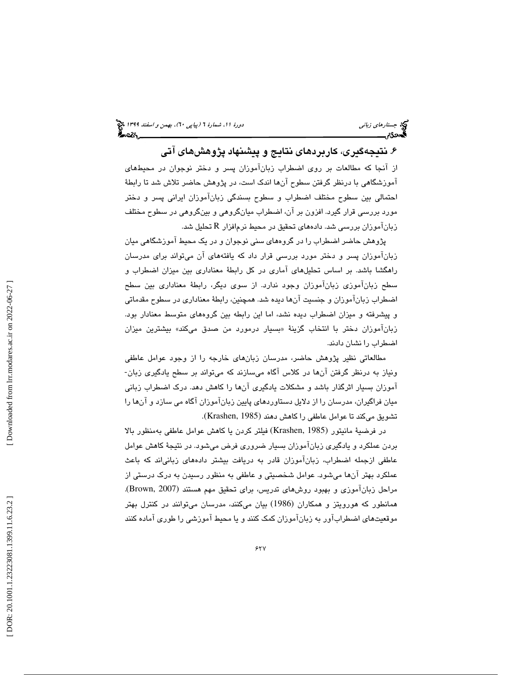۶. نتيجهگيري، كاربردهاي نتايج و پيشنهاد پژوهشهاي آتي

از آنجا که مطالعات بر روی اضطراب زبانآموزان پسر و دختر نوجوان در محیطهای آموزشگاهی با درنظر گرفتن سطوح آنها اندک است، در پژوهش حاضر تلاش شد تا رابطهٔ احتمالي بين سطوح مختلف اضطراب و سطوح بسندگي زبانآموزان ايراني پسر و دختر مورد بررسي قرار گيرد. افزون بر آن، اضطراب ميانگروهي ب و ينگروه ي در سطوح مختلف زبانآموزان بررسی شد. دادههای تحقیق در محیط نرمافزار  $\rm R$  تحلیل شد.

پژوهش حاضر اضطراب را در گروههای سنی نوجوان و در يک محيط آموزشگاهی ميان زبانآموزان پسر و دختر مورد بررسی قرار داد که یافتههای آن میتواند برای مدرسان راهگشا باشد. بر اساس تحلیلهای آماری در کل رابطهٔ معناداری بین میزان اضطراب و سطح زبانآموزي زبانآموزان وجود ندارد. از سوي ديگر، رابطهٔ معناداري بين سطح اضطراب زبانآموزان و جنسيت آنها ديده شد. همچنين، رابطهٔ معناداري در سطوح مقدماتي و پيشرفته و ميزان اضطراب ديده نشد، اما اين رابطه بين گروههاي متوسط معنادار بود. زبانآموزان دختر با انتخاب گزينهٔ «بسيار درمورد من صدق مىكند» بيشترين ميزان اضطراب را نشان دادند.

مطالعاتی نظیر پژوهش حاضر، مدرسان زبانهای خارجه را از وجود عوامل عاطفی ونياز به درنظر گرفتن آنها در كلاس آگاه مىسازند كه مىتواند بر سطح يادگيرى زبان-آموزان بسيار اثرگذار باشد و مشكلات يادگيري آنها را كاهش دهد. درک اضطراب زباني ميان فراگيران، مدرسان را از دلايل دستاوردهاي پايين زبانآموزان آگاه مي سازد و آن را ها تشويق ميكند تا عوامل عاطفي را كاهش دهند (Krashen, 1985).

در فرضية مانيتور (Krashen, 1985) فيلتر كردن يا كاهش عوامل عاطفى بهمنظور بالا بردن عملكرد و يادگيري زبانآموزان بسيار ضروري فرض مي شود. در نتيجهٔ كاهش عوامل عاطفی ازجمله اضطراب، زبانآموزان قادر به دریافت بیشتر دادههای زبانیاند که باعث عملكرد بهتر آن ها ميشود. عوامل شخصيتي و عاطفي به منظور رسيدن به درك درستي از مراحل زبانآموزي و بهبود روشهاي تدريس، براي تحقيق مهم هستند (Brown, 2007). همانطور كه هورويتز و همكاران (1986) بيان مىكنند، مدرسان مىتوانند در كنترل بهتر موقعيتهاي اضطرابآور به زبانآموزان كمك كنند يا و محيط آموزشي را طوري آماده كنند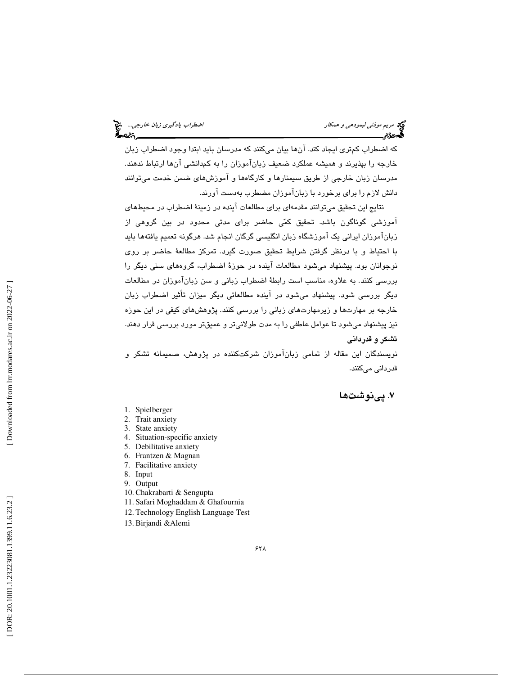که اضطراب کمتری ایجاد کند. آنها بیان میکنند که مدرسان باید ابتدا وجود اضطراب زبان<br>خارجه را بپذیرند و همیشه عملکرد ضعیف زبانآموزان را به کمدانشی آنها ارتباط ندهند. مدرسان زبان خارجی از طریق سیمنارها و کارگاهها و آموزشهای ضمن خدمت میتوانند دانش لازم را براي برخورد با زبانآموزان مضطرب به دست آورند.

نتايج اين تحقيق ميتوانند مقدمهاي براي مطالعات آينده در زمينهٔ اضطراب در محيطهاي آموزشی گوناگون باشد. تحقيق کمّی حاضر برای مدتی محدود در بين گروهی از زبانآموزان ايراني يک آموزشگاه زبان انگليسي گرگان انجام شد. هرگونه تعميم يافتهها بايد با احتياط و با درنظر گرفتن شرايط تحقيق صورت گيرد. تمركز مطالعهٔ حاضر بر روى نوجوانان بود. پیشنهاد میشود مطالعات آینده در حوزهٔ اضطراب، گروههای سنی دیگر را بررسی کنند. به علاوه، مناسب است رابطهٔ اضطراب زبانی و سن زبانآموزان در مطالعات ديگر بررسي شود. پيشنهاد ميشود در آينده مطالعاتي ديگر ميزان تأثير اضطراب زبان خارجه بر مهارتها و زیرمهارتهای زبانی را بررسی کنند. پژوهشهای کیفی در این حوزه نيز پيشنهاد مي شود تا عوامل عاطفي را به مدت طولاني تر و عميقتر مورد بررسي قرار دهند. تشكر و قدرداني

نويسندگان اين مقاله از تمامی زبانآموزان شركتكننده در پژوهش، صميمانه تشكر و قدرداني ميكنند .

نوشت ها 7 . پي

- 1. Spielberger
- 2. Trait anxiety
- 3. State anxiety
- 4. Situation-specific anxiety
- 5. Debilitative anxiety
- 6. Frantzen & Magnan
- 7. Facilitative anxiety
- 8. Input
- 9. Output 10. Chakrabarti & Sengupta
- 11. Safari Moghaddam & Ghafournia
- 12. Technology English Language Test
- 13. Birjandi &Alemi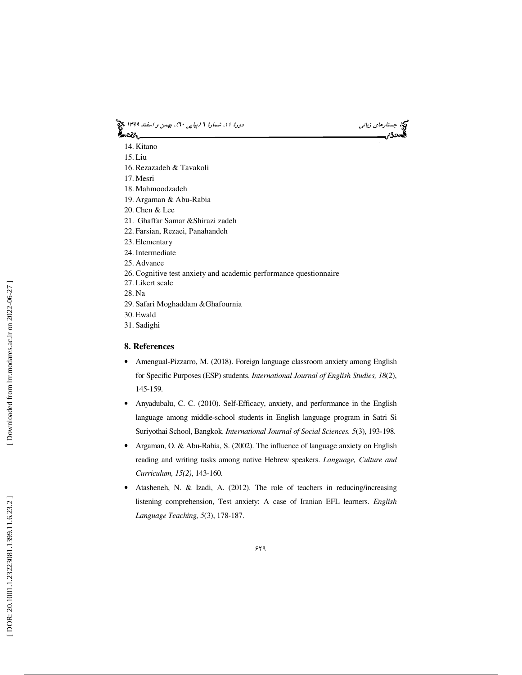# جستاره*اي زباني (بياپي 60)، بهمن و اسفند 1*394 فرانس به 130 دورة ا $\mu$  شمارة 1 (پياپي 61)، بهم*ن و اسفند 1*34 فر



- 14. Kitano
- 15. Liu
- 16. Rezazadeh & Tavakoli
- 17. Mesri
- 18. Mahmoodzadeh
- 19. Argaman & Abu-Rabia
- 20. Chen & Lee
- 21. Ghaffar Samar &Shirazi zadeh
- 22. Farsian, Rezaei, Panahandeh
- 23. Elementary
- 24. Intermediate
- 25. Advance
- 26. Cognitive test anxiety and academic performance questionnaire
- 27. Likert scale
- 28. Na
- 29. Safari Moghaddam &Ghafournia
- 30. Ewald
- 31. Sadighi

### **8. References**

- Amengual-Pizzarro, M. (2018). Foreign language classroom anxiety among English for Specific Purposes (ESP) students. *International Journal of English Studies, 18*(2), 145-159.
- Anyadubalu, C. C. (2010). Self-Efficacy, anxiety, and performance in the English language among middle-school students in English language program in Satri Si Suriyothai School, Bangkok. *International Journal of Social Sciences. 5*(3), 193-198.
- Argaman, O. & Abu-Rabia, S. (2002). The influence of language anxiety on English reading and writing tasks among native Hebrew speakers. *Language, Culture and Curriculum, 15(2)*, 143-160.
- Atasheneh, N. & Izadi, A. (2012). The role of teachers in reducing/increasing listening comprehension, Test anxiety: A case of Iranian EFL learners. *English Language Teaching, 5*(3), 178-187.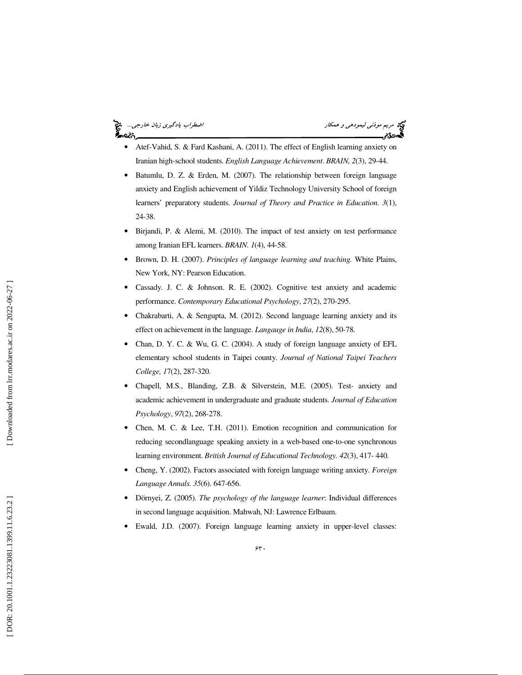### اضطراب يادگيري زبان خارجي... ર્ક∼લ્લ<sub>ે.</sub>

مريم موذني

- Atef-Vahid, S. & Fard Kashani, A. (2011). The effect of English learning anxiety on Iranian high-school students. *English Language Achievement*. *BRAIN, 2*(3), 29-44.
- Batumlu, D. Z. & Erden, M. (2007). The relationship between foreign language anxiety and English achievement of Yildiz Technology University School of foreign learners' preparatory students. *Journal of Theory and Practice in Education*. *3*(1), 24-38.
- Birjandi, P. & Alemi, M. (2010). The impact of test anxiety on test performance among Iranian EFL learners. *BRAIN. 1*(4), 44-58.
- Brown, D. H. (2007). *Principles of language learning and teaching.* White Plains, New York, NY: Pearson Education.
- Cassady. J. C. & Johnson. R. E. (2002). Cognitive test anxiety and academic performance. *Contemporary Educational Psychology*, *27*(2), 270-295.
- Chakrabarti, A. & Sengupta, M. (2012). Second language learning anxiety and its effect on achievement in the language. *Langauge in India*, *12*(8), 50-78.
- Chan, D. Y. C. & Wu, G. C. (2004). A study of foreign language anxiety of EFL elementary school students in Taipei county. *Journal of National Taipei Teachers College, 1*7(2), 287-320.
- Chapell, M.S., Blanding, Z.B. & Silverstein, M.E. (2005). Test- anxiety and academic achievement in undergraduate and graduate students. *Journal of Education Psychology*, *97*(2), 268-278.
- Chen, M. C. & Lee, T.H. (2011). Emotion recognition and communication for reducing secondlanguage speaking anxiety in a web-based one-to-one synchronous learning environment. *British Journal of Educational Technology. 42*(3), 417- 440.
- Cheng, Y. (2002). Factors associated with foreign language writing anxiety. *Foreign Language Annals. 35*(6). 647-656.
- Dörnyei, Z. (2005). *The psychology of the language learner*: Individual differences in second language acquisition. Mahwah, NJ: Lawrence Erlbaum.
- Ewald, J.D. (2007). Foreign language learning anxiety in upper-level classes:

Downloaded from lrr.modares.ac.ir on 2022-06-27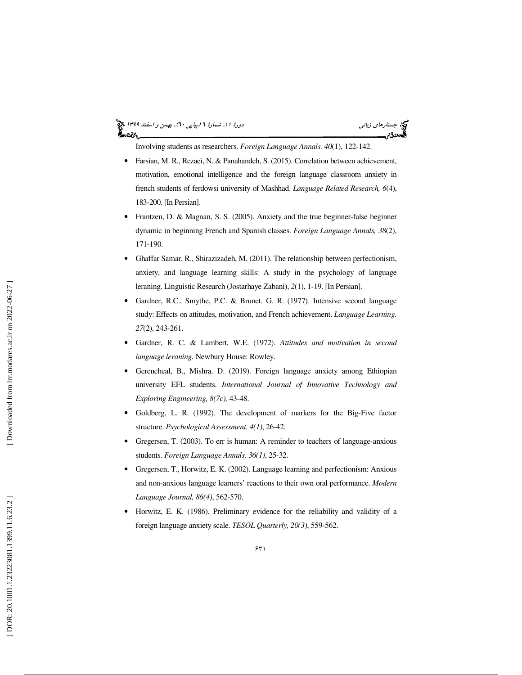### جستاره*اي زباني (بياپي 60)، بهمن و اسفند 1*394 فرانس به 130 دورة ا $\mu$  شمارة 1 (پياپي 61)، بهم*ن و اسفند 1*34 فر ⊁∼વ્લ

Involving students as researchers. *Foreign Language Annals. 40*(1), 122-142.

- Farsian, M. R., Rezaei, N. & Panahandeh, S. (2015). Correlation between achievement, motivation, emotional intelligence and the foreign language classroom anxiety in french students of ferdowsi university of Mashhad. *Language Related Research, 6*(4), 183-200. [In Persian].
- Frantzen, D. & Magnan, S. S. (2005). Anxiety and the true beginner-false beginner dynamic in beginning French and Spanish classes. *Foreign Language Annals, 38*(2), 171-190.
- Ghaffar Samar, R., Shirazizadeh, M. (2011). The relationship between perfectionism, anxiety, and language learning skills: A study in the psychology of language leraning. Linguistic Research (Jostarhaye Zabani), *2*(1), 1-19. [In Persian].
- Gardner, R.C., Smythe, P.C. & Brunet, G. R. (1977). Intensive second language study: Effects on attitudes, motivation, and French achievement. *Language Learning. 27*(2), 243-261.
- Gardner, R. C. & Lambert, W.E. (1972). *Attitudes and motivation in second language leraning.* Newbury House: Rowley.
- Gerencheal, B., Mishra. D. (2019). Foreign language anxiety among Ethiopian university EFL students. *International Journal of Innovative Technology and Exploring Engineering, 8(7c),* 43-48.
- Goldberg, L. R. (1992). The development of markers for the Big-Five factor structure. *Psychological Assessment. 4(1)*, 26-42.
- Gregersen, T. (2003). To err is human: A reminder to teachers of language-anxious students. *Foreign Language Annals, 36(1)*, 25-32.
- Gregersen, T., Horwitz, E. K. (2002). Language learning and perfectionism: Anxious and non-anxious language learners' reactions to their own oral performance. *Modern Language Journal, 86(4)*, 562-570.
- Horwitz, E. K. (1986). Preliminary evidence for the reliability and validity of a foreign language anxiety scale. *TESOL Quarterly, 20(3)*, 559-562.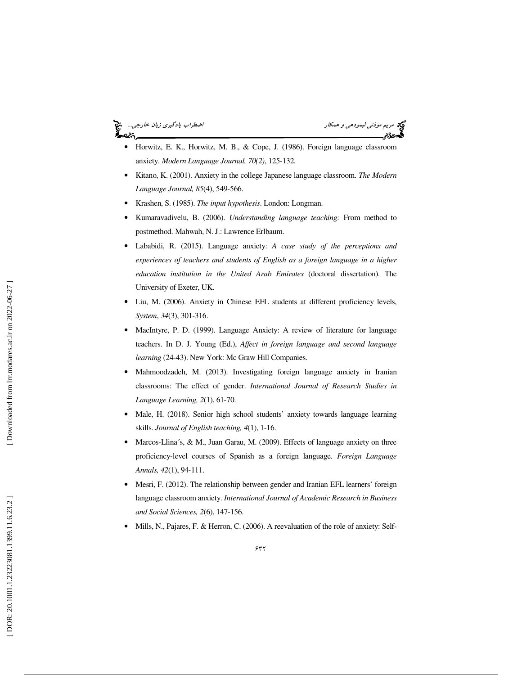### اضطراب يادگيري زبان خارجي... آصدكم

مريم *موذني ليمودهي و همكار*<br>**محمددي مر**يم

- Horwitz, E. K., Horwitz, M. B., & Cope, J. (1986). Foreign language classroom anxiety. *Modern Language Journal, 70(2)*, 125-132.
- Kitano, K. (2001). Anxiety in the college Japanese language classroom. *The Modern Language Journal, 85*(4), 549-566.
- Krashen, S. (1985). *The input hypothesis*. London: Longman.
- Kumaravadivelu, B. (2006). *Understanding language teaching:* From method to postmethod. Mahwah, N. J.: Lawrence Erlbaum.
- Lababidi, R. (2015). Language anxiety: *A case study of the perceptions and experiences of teachers and students of English as a foreign language in a higher education institution in the United Arab Emirates* (doctoral dissertation). The University of Exeter, UK.
- Liu, M. (2006). Anxiety in Chinese EFL students at different proficiency levels, *System* , *34*(3), 301-316.
- MacIntyre, P. D. (1999). Language Anxiety: A review of literature for language teachers. In D. J. Young (Ed.), *Affect in foreign language and second language learning* (24-43). New York: Mc Graw Hill Companies.
- Mahmoodzadeh, M. (2013). Investigating foreign language anxiety in Iranian classrooms: The effect of gender. *International Journal of Research Studies in Language Learning, 2*(1), 61-70.
- Male, H. (2018). Senior high school students' anxiety towards language learning skills. *Journal of English teaching, 4*(1), 1-16.
- Marcos-Llina's, & M., Juan Garau, M. (2009). Effects of language anxiety on three proficiency-level courses of Spanish as a foreign language. *Foreign Language Annals, 42*(1), 94-111.
- Mesri, F. (2012). The relationship between gender and Iranian EFL learners' foreign language classroom anxiety. *International Journal of Academic Research in Business and Social Sciences, 2*(6), 147-156.
- Mills, N., Pajares, F. & Herron, C. (2006). A reevaluation of the role of anxiety: Self-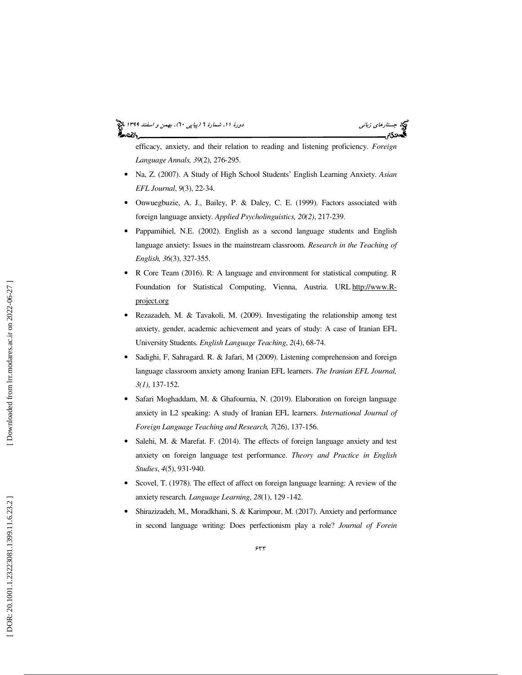# جستاره*اي زباني (بياپي 60)، بهمن و اسفند 1*394 فرانس به 130 دورة ا $\mu$  شمارة 1 (پياپي 61)، بهم*ن و اسفند 1*34 فر

efficacy, anxiety, and their relation to reading and listening proficiency. *Foreign Language Annals, 39*(2), 276 -295.

- Na, Z. (2007). A Study of High School Students' English Learning Anxiety. *Asian EFL Journal*, *9*(3), 22-34.
- Onwuegbuzie, A. J., Bailey, P. & Daley, C. E. (1999). Factors associated with foreign language anxiety. *Applied Psycholinguistics, 20(2)*, 217-239.
- Pappamihiel, N.E. (2002). English as a second language students and English language anxiety: Issues in the mainstream classroom. *Research in the Teaching of English, 36*(3), 327-355.
- R Core Team (2016). R: A language and environment for statistical computing. R Foundation for Statistical Computing, Vienna, Austria. URL http://www.Rproject.org
- Rezazadeh, M. & Tavakoli, M. (2009). Investigating the relationship among test anxiety, gender, academic achievement and years of study: A case of Iranian EFL University Students*. English Language Teaching*, *2*(4), 68-74.
- Sadighi, F, Sahragard. R. & Jafari, M (2009). Listening comprehension and foreign language classroom anxiety among Iranian EFL learners. *The Iranian EFL Journal, 3(1)*, 137-152.
- Safari Moghaddam, M. & Ghafournia, N. (2019). Elaboration on foreign language anxiety in L2 speaking: A study of Iranian EFL learners. *International Journal of Foreign Language Teaching and Research, 7*(26), 137-156.
- Salehi, M. & Marefat. F. (2014). The effects of foreign language anxiety and test anxiety on foreign language test performance. *Theory and Practice in English Studies*, *4*(5), 931-940.
- Scovel, T. (1978). The effect of affect on foreign language learning: A review of the anxiety research*. Language Learning*, *28*(1), 129 - 142.
- Shirazizadeh, M., Moradkhani, S. & Karimpour, M. (2017). Anxiety and performance in second language writing: Does perfectionism play a role? *Journal of Forein*